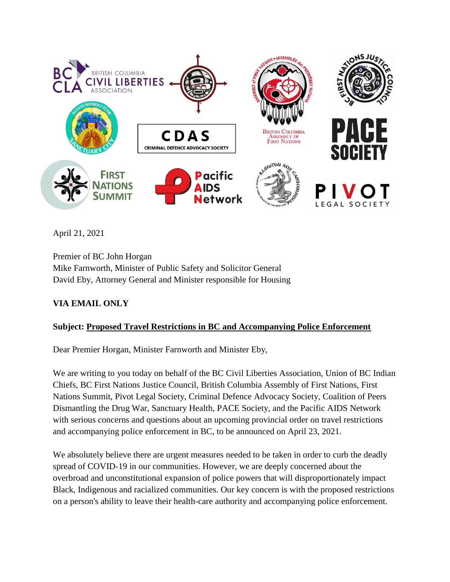

April 21, 2021

Premier of BC John Horgan Mike Farnworth, Minister of Public Safety and Solicitor General David Eby, Attorney General and Minister responsible for Housing

# **VIA EMAIL ONLY**

# **Subject: Proposed Travel Restrictions in BC and Accompanying Police Enforcement**

Dear Premier Horgan, Minister Farnworth and Minister Eby,

We are writing to you today on behalf of the BC Civil Liberties Association, Union of BC Indian Chiefs, BC First Nations Justice Council, British Columbia Assembly of First Nations, First Nations Summit, Pivot Legal Society, Criminal Defence Advocacy Society, Coalition of Peers Dismantling the Drug War, Sanctuary Health, PACE Society, and the Pacific AIDS Network with serious concerns and questions about an upcoming provincial order on travel restrictions and accompanying police enforcement in BC, to be announced on April 23, 2021.

We absolutely believe there are urgent measures needed to be taken in order to curb the deadly spread of COVID-19 in our communities. However, we are deeply concerned about the overbroad and unconstitutional expansion of police powers that will disproportionately impact Black, Indigenous and racialized communities. Our key concern is with the proposed restrictions on a person's ability to leave their health-care authority and accompanying police enforcement.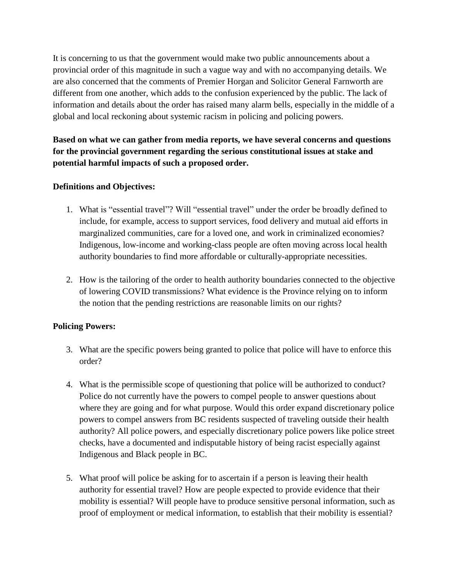It is concerning to us that the government would make two public announcements about a provincial order of this magnitude in such a vague way and with no accompanying details. We are also concerned that the comments of Premier Horgan and Solicitor General Farnworth are different from one another, which adds to the confusion experienced by the public. The lack of information and details about the order has raised many alarm bells, especially in the middle of a global and local reckoning about systemic racism in policing and policing powers.

**Based on what we can gather from media reports, we have several concerns and questions for the provincial government regarding the serious constitutional issues at stake and potential harmful impacts of such a proposed order.** 

### **Definitions and Objectives:**

- 1. What is "essential travel"? Will "essential travel" under the order be broadly defined to include, for example, access to support services, food delivery and mutual aid efforts in marginalized communities, care for a loved one, and work in criminalized economies? Indigenous, low-income and working-class people are often moving across local health authority boundaries to find more affordable or culturally-appropriate necessities.
- 2. How is the tailoring of the order to health authority boundaries connected to the objective of lowering COVID transmissions? What evidence is the Province relying on to inform the notion that the pending restrictions are reasonable limits on our rights?

# **Policing Powers:**

- 3. What are the specific powers being granted to police that police will have to enforce this order?
- 4. What is the permissible scope of questioning that police will be authorized to conduct? Police do not currently have the powers to compel people to answer questions about where they are going and for what purpose. Would this order expand discretionary police powers to compel answers from BC residents suspected of traveling outside their health authority? All police powers, and especially discretionary police powers like police street checks, have a documented and indisputable history of being racist especially against Indigenous and Black people in BC.
- 5. What proof will police be asking for to ascertain if a person is leaving their health authority for essential travel? How are people expected to provide evidence that their mobility is essential? Will people have to produce sensitive personal information, such as proof of employment or medical information, to establish that their mobility is essential?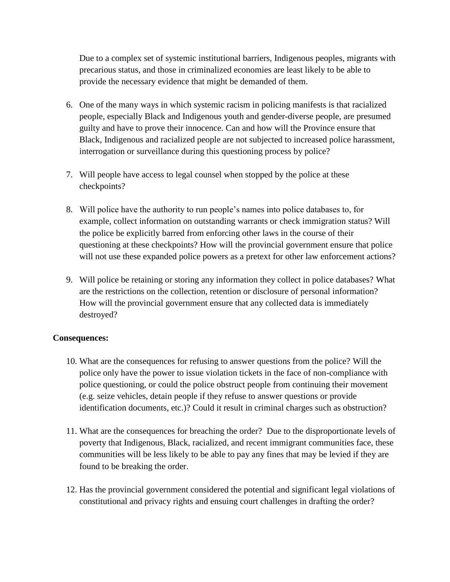Due to a complex set of systemic institutional barriers, Indigenous peoples, migrants with precarious status, and those in criminalized economies are least likely to be able to provide the necessary evidence that might be demanded of them.

- 6. One of the many ways in which systemic racism in policing manifests is that racialized people, especially Black and Indigenous youth and gender-diverse people, are presumed guilty and have to prove their innocence. Can and how will the Province ensure that Black, Indigenous and racialized people are not subjected to increased police harassment, interrogation or surveillance during this questioning process by police?
- 7. Will people have access to legal counsel when stopped by the police at these checkpoints?
- 8. Will police have the authority to run people's names into police databases to, for example, collect information on outstanding warrants or check immigration status? Will the police be explicitly barred from enforcing other laws in the course of their questioning at these checkpoints? How will the provincial government ensure that police will not use these expanded police powers as a pretext for other law enforcement actions?
- 9. Will police be retaining or storing any information they collect in police databases? What are the restrictions on the collection, retention or disclosure of personal information? How will the provincial government ensure that any collected data is immediately destroyed?

### **Consequences:**

- 10. What are the consequences for refusing to answer questions from the police? Will the police only have the power to issue violation tickets in the face of non-compliance with police questioning, or could the police obstruct people from continuing their movement (e.g. seize vehicles, detain people if they refuse to answer questions or provide identification documents, etc.)? Could it result in criminal charges such as obstruction?
- 11. What are the consequences for breaching the order? Due to the disproportionate levels of poverty that Indigenous, Black, racialized, and recent immigrant communities face, these communities will be less likely to be able to pay any fines that may be levied if they are found to be breaking the order.
- 12. Has the provincial government considered the potential and significant legal violations of constitutional and privacy rights and ensuing court challenges in drafting the order?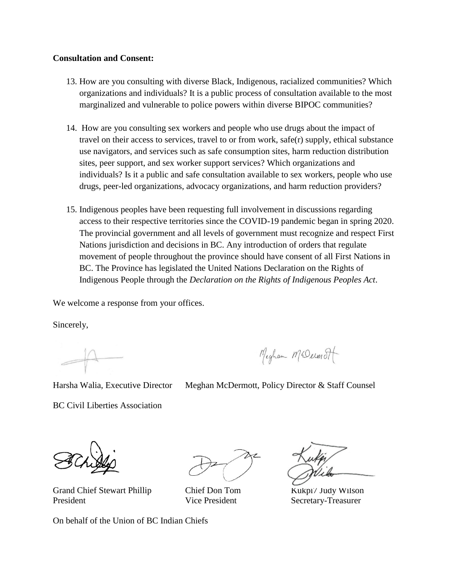#### **Consultation and Consent:**

- 13. How are you consulting with diverse Black, Indigenous, racialized communities? Which organizations and individuals? It is a public process of consultation available to the most marginalized and vulnerable to police powers within diverse BIPOC communities?
- 14. How are you consulting sex workers and people who use drugs about the impact of travel on their access to services, travel to or from work, safe(r) supply, ethical substance use navigators, and services such as safe consumption sites, harm reduction distribution sites, peer support, and sex worker support services? Which organizations and individuals? Is it a public and safe consultation available to sex workers, people who use drugs, peer-led organizations, advocacy organizations, and harm reduction providers?
- 15. Indigenous peoples have been requesting full involvement in discussions regarding access to their respective territories since the COVID-19 pandemic began in spring 2020. The provincial government and all levels of government must recognize and respect First Nations jurisdiction and decisions in BC. Any introduction of orders that regulate movement of people throughout the province should have consent of all First Nations in BC. The Province has legislated the United Nations Declaration on the Rights of Indigenous People through the *Declaration on the Rights of Indigenous Peoples Act*.

We welcome a response from your offices.

Sincerely,

Meghan MrDeimot

Harsha Walia, Executive Director Meghan McDermott, Policy Director & Staff Counsel

BC Civil Liberties Association

Grand Chief Stewart Phillip Chief Don Tom Kukpi7 Judy Wilson President Vice President Secretary-Treasurer

On behalf of the Union of BC Indian Chiefs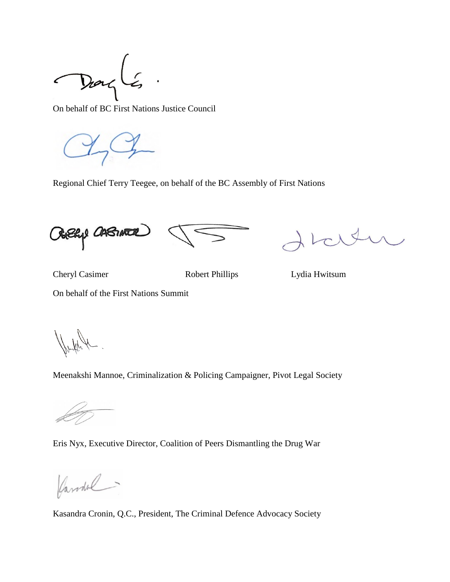$\acute{\zeta}$ Darg

On behalf of BC First Nations Justice Council

Regional Chief Terry Teegee, on behalf of the BC Assembly of First Nations

Outlief CABINEER

Cheryl Casimer Robert Phillips Lydia Hwitsum

On behalf of the First Nations Summit

Meenakshi Mannoe, Criminalization & Policing Campaigner, Pivot Legal Society

Eris Nyx, Executive Director, Coalition of Peers Dismantling the Drug War

Caronal.

Kasandra Cronin, Q.C., President, The Criminal Defence Advocacy Society